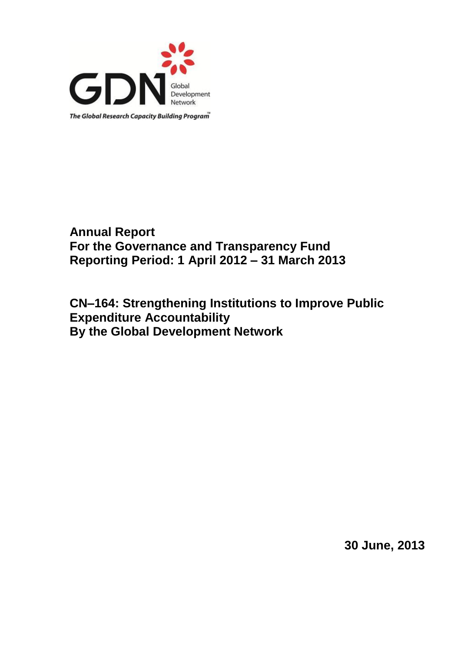

# **Annual Report For the Governance and Transparency Fund Reporting Period: 1 April 2012 – 31 March 2013**

**CN–164: Strengthening Institutions to Improve Public Expenditure Accountability By the Global Development Network**

**30 June, 2013**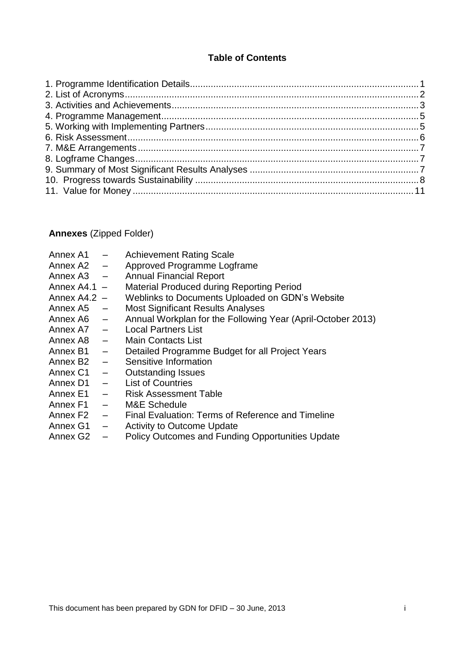# **Table of Contents**

## **Annexes** (Zipped Folder)

| Annex A1                | $\qquad \qquad -$        | <b>Achievement Rating Scale</b>                             |
|-------------------------|--------------------------|-------------------------------------------------------------|
| Annex A2                | $\overline{\phantom{m}}$ | Approved Programme Logframe                                 |
| Annex A3                | $\overline{\phantom{m}}$ | <b>Annual Financial Report</b>                              |
| Annex $A4.1 -$          |                          | <b>Material Produced during Reporting Period</b>            |
| Annex $A4.2 -$          |                          | Weblinks to Documents Uploaded on GDN's Website             |
| Annex A5                | $\frac{1}{2}$            | <b>Most Significant Results Analyses</b>                    |
| Annex $\overline{AB}$ – |                          | Annual Workplan for the Following Year (April-October 2013) |
| Annex $A7 -$            |                          | <b>Local Partners List</b>                                  |
| Annex A8                | $ \,$                    | <b>Main Contacts List</b>                                   |
| Annex B1                | $\equiv$ .               | Detailed Programme Budget for all Project Years             |
| Annex B <sub>2</sub>    | $\qquad \qquad -$        | Sensitive Information                                       |
| Annex C1                | $\overline{\phantom{0}}$ | <b>Outstanding Issues</b>                                   |
| Annex D1                | $\sim$                   | <b>List of Countries</b>                                    |
| Annex E1                |                          | <b>Risk Assessment Table</b>                                |

- Annex F1 M&E Schedule<br>Annex F2 Final Evaluation
- Final Evaluation: Terms of Reference and Timeline
- Annex G1 Activity to Outcome Update<br>Annex G2 Policy Outcomes and Fundin
- Policy Outcomes and Funding Opportunities Update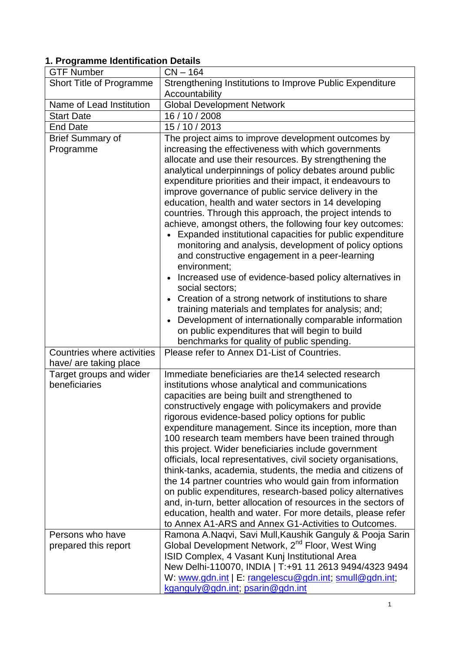# <span id="page-2-0"></span>**1. Programme Identification Details**

| <b>GTF Number</b>          | $CN - 164$                                                                                                             |
|----------------------------|------------------------------------------------------------------------------------------------------------------------|
| Short Title of Programme   | Strengthening Institutions to Improve Public Expenditure                                                               |
|                            | Accountability                                                                                                         |
| Name of Lead Institution   | <b>Global Development Network</b>                                                                                      |
| <b>Start Date</b>          | 16 / 10 / 2008                                                                                                         |
| <b>End Date</b>            | 15 / 10 / 2013                                                                                                         |
| <b>Brief Summary of</b>    | The project aims to improve development outcomes by                                                                    |
| Programme                  | increasing the effectiveness with which governments                                                                    |
|                            | allocate and use their resources. By strengthening the                                                                 |
|                            | analytical underpinnings of policy debates around public                                                               |
|                            | expenditure priorities and their impact, it endeavours to                                                              |
|                            | improve governance of public service delivery in the                                                                   |
|                            | education, health and water sectors in 14 developing                                                                   |
|                            | countries. Through this approach, the project intends to                                                               |
|                            | achieve, amongst others, the following four key outcomes:                                                              |
|                            | Expanded institutional capacities for public expenditure                                                               |
|                            | monitoring and analysis, development of policy options                                                                 |
|                            | and constructive engagement in a peer-learning<br>environment;                                                         |
|                            | Increased use of evidence-based policy alternatives in                                                                 |
|                            | social sectors;                                                                                                        |
|                            | Creation of a strong network of institutions to share                                                                  |
|                            | training materials and templates for analysis; and;                                                                    |
|                            | Development of internationally comparable information                                                                  |
|                            | on public expenditures that will begin to build                                                                        |
|                            | benchmarks for quality of public spending.                                                                             |
| Countries where activities | Please refer to Annex D1-List of Countries.                                                                            |
| have/ are taking place     |                                                                                                                        |
| Target groups and wider    | Immediate beneficiaries are the 14 selected research                                                                   |
| beneficiaries              | institutions whose analytical and communications                                                                       |
|                            | capacities are being built and strengthened to                                                                         |
|                            | constructively engage with policymakers and provide                                                                    |
|                            | rigorous evidence-based policy options for public                                                                      |
|                            | expenditure management. Since its inception, more than                                                                 |
|                            | 100 research team members have been trained through                                                                    |
|                            | this project. Wider beneficiaries include government<br>officials, local representatives, civil society organisations, |
|                            | think-tanks, academia, students, the media and citizens of                                                             |
|                            | the 14 partner countries who would gain from information                                                               |
|                            | on public expenditures, research-based policy alternatives                                                             |
|                            | and, in-turn, better allocation of resources in the sectors of                                                         |
|                            | education, health and water. For more details, please refer                                                            |
|                            | to Annex A1-ARS and Annex G1-Activities to Outcomes.                                                                   |
| Persons who have           | Ramona A.Naqvi, Savi Mull, Kaushik Ganguly & Pooja Sarin                                                               |
| prepared this report       | Global Development Network, 2 <sup>nd</sup> Floor, West Wing                                                           |
|                            | ISID Complex, 4 Vasant Kunj Institutional Area                                                                         |
|                            | New Delhi-110070, INDIA   T:+91 11 2613 9494/4323 9494                                                                 |
|                            | W: www.gdn.int   E: rangelescu@gdn.int; smull@gdn.int;                                                                 |
|                            | kganguly@gdn.int; psarin@gdn.int                                                                                       |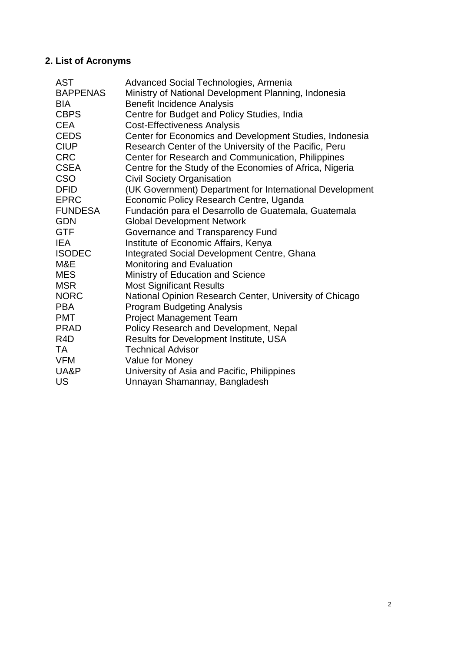# <span id="page-3-0"></span>**2. List of Acronyms**

| <b>AST</b>       | Advanced Social Technologies, Armenia                    |
|------------------|----------------------------------------------------------|
| <b>BAPPENAS</b>  | Ministry of National Development Planning, Indonesia     |
| <b>BIA</b>       | <b>Benefit Incidence Analysis</b>                        |
| <b>CBPS</b>      | Centre for Budget and Policy Studies, India              |
| <b>CEA</b>       | <b>Cost-Effectiveness Analysis</b>                       |
| <b>CEDS</b>      | Center for Economics and Development Studies, Indonesia  |
| <b>CIUP</b>      | Research Center of the University of the Pacific, Peru   |
| <b>CRC</b>       | Center for Research and Communication, Philippines       |
| <b>CSEA</b>      | Centre for the Study of the Economies of Africa, Nigeria |
| <b>CSO</b>       | <b>Civil Society Organisation</b>                        |
| <b>DFID</b>      | (UK Government) Department for International Development |
| <b>EPRC</b>      | Economic Policy Research Centre, Uganda                  |
| <b>FUNDESA</b>   | Fundación para el Desarrollo de Guatemala, Guatemala     |
| <b>GDN</b>       | <b>Global Development Network</b>                        |
| <b>GTF</b>       | Governance and Transparency Fund                         |
| <b>IEA</b>       | Institute of Economic Affairs, Kenya                     |
| <b>ISODEC</b>    | Integrated Social Development Centre, Ghana              |
| M&E              | Monitoring and Evaluation                                |
| <b>MES</b>       | Ministry of Education and Science                        |
| <b>MSR</b>       | <b>Most Significant Results</b>                          |
| <b>NORC</b>      | National Opinion Research Center, University of Chicago  |
| <b>PBA</b>       | <b>Program Budgeting Analysis</b>                        |
| <b>PMT</b>       | <b>Project Management Team</b>                           |
| <b>PRAD</b>      | Policy Research and Development, Nepal                   |
| R <sub>4</sub> D | Results for Development Institute, USA                   |
| TA               | <b>Technical Advisor</b>                                 |
| <b>VFM</b>       | Value for Money                                          |
| UA&P             | University of Asia and Pacific, Philippines              |
| US               | Unnayan Shamannay, Bangladesh                            |
|                  |                                                          |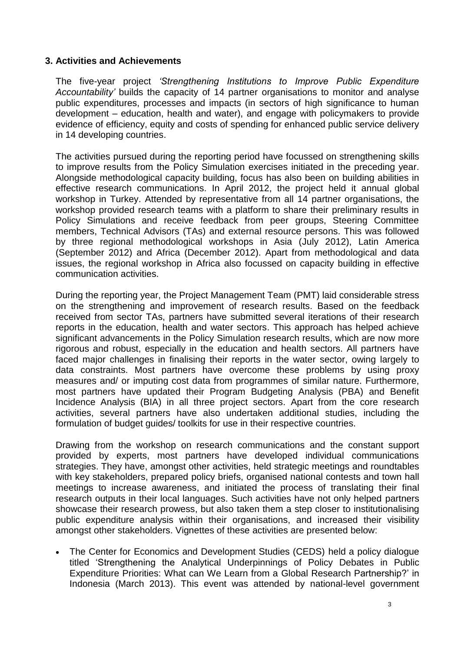#### <span id="page-4-0"></span>**3. Activities and Achievements**

The five-year project *'Strengthening Institutions to Improve Public Expenditure Accountability'* builds the capacity of 14 partner organisations to monitor and analyse public expenditures, processes and impacts (in sectors of high significance to human development – education, health and water), and engage with policymakers to provide evidence of efficiency, equity and costs of spending for enhanced public service delivery in 14 developing countries.

The activities pursued during the reporting period have focussed on strengthening skills to improve results from the Policy Simulation exercises initiated in the preceding year. Alongside methodological capacity building, focus has also been on building abilities in effective research communications. In April 2012, the project held it annual global workshop in Turkey. Attended by representative from all 14 partner organisations, the workshop provided research teams with a platform to share their preliminary results in Policy Simulations and receive feedback from peer groups, Steering Committee members, Technical Advisors (TAs) and external resource persons. This was followed by three regional methodological workshops in Asia (July 2012), Latin America (September 2012) and Africa (December 2012). Apart from methodological and data issues, the regional workshop in Africa also focussed on capacity building in effective communication activities.

During the reporting year, the Project Management Team (PMT) laid considerable stress on the strengthening and improvement of research results. Based on the feedback received from sector TAs, partners have submitted several iterations of their research reports in the education, health and water sectors. This approach has helped achieve significant advancements in the Policy Simulation research results, which are now more rigorous and robust, especially in the education and health sectors. All partners have faced major challenges in finalising their reports in the water sector, owing largely to data constraints. Most partners have overcome these problems by using proxy measures and/ or imputing cost data from programmes of similar nature. Furthermore, most partners have updated their Program Budgeting Analysis (PBA) and Benefit Incidence Analysis (BIA) in all three project sectors. Apart from the core research activities, several partners have also undertaken additional studies, including the formulation of budget guides/ toolkits for use in their respective countries.

Drawing from the workshop on research communications and the constant support provided by experts, most partners have developed individual communications strategies. They have, amongst other activities, held strategic meetings and roundtables with key stakeholders, prepared policy briefs, organised national contests and town hall meetings to increase awareness, and initiated the process of translating their final research outputs in their local languages. Such activities have not only helped partners showcase their research prowess, but also taken them a step closer to institutionalising public expenditure analysis within their organisations, and increased their visibility amongst other stakeholders. Vignettes of these activities are presented below:

 The Center for Economics and Development Studies (CEDS) held a policy dialogue titled 'Strengthening the Analytical Underpinnings of Policy Debates in Public Expenditure Priorities: What can We Learn from a Global Research Partnership?' in Indonesia (March 2013). This event was attended by national-level government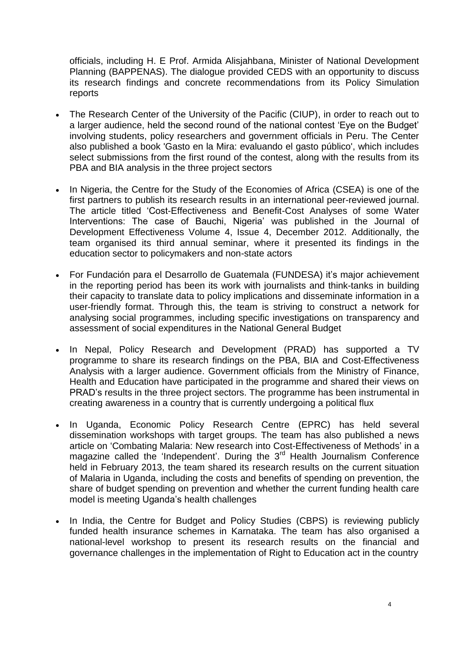officials, including H. E Prof. Armida Alisjahbana, Minister of National Development Planning (BAPPENAS). The dialogue provided CEDS with an opportunity to discuss its research findings and concrete recommendations from its Policy Simulation reports

- The Research Center of the University of the Pacific (CIUP), in order to reach out to a larger audience, held the second round of the national contest 'Eye on the Budget' involving students, policy researchers and government officials in Peru. The Center also published a book 'Gasto en la Mira: evaluando el gasto público', which includes select submissions from the first round of the contest, along with the results from its PBA and BIA analysis in the three project sectors
- In Nigeria, the Centre for the Study of the Economies of Africa (CSEA) is one of the first partners to publish its research results in an international peer-reviewed journal. The article titled 'Cost-Effectiveness and Benefit-Cost Analyses of some Water Interventions: The case of Bauchi, Nigeria' was published in the Journal of Development Effectiveness Volume 4, Issue 4, December 2012. Additionally, the team organised its third annual seminar, where it presented its findings in the education sector to policymakers and non-state actors
- For Fundación para el Desarrollo de Guatemala (FUNDESA) it's major achievement in the reporting period has been its work with journalists and think-tanks in building their capacity to translate data to policy implications and disseminate information in a user-friendly format. Through this, the team is striving to construct a network for analysing social programmes, including specific investigations on transparency and assessment of social expenditures in the National General Budget
- In Nepal, Policy Research and Development (PRAD) has supported a TV programme to share its research findings on the PBA, BIA and Cost-Effectiveness Analysis with a larger audience. Government officials from the Ministry of Finance, Health and Education have participated in the programme and shared their views on PRAD's results in the three project sectors. The programme has been instrumental in creating awareness in a country that is currently undergoing a political flux
- In Uganda, Economic Policy Research Centre (EPRC) has held several dissemination workshops with target groups. The team has also published a news article on 'Combating Malaria: New research into Cost-Effectiveness of Methods' in a magazine called the 'Independent'. During the 3<sup>rd</sup> Health Journalism Conference held in February 2013, the team shared its research results on the current situation of Malaria in Uganda, including the costs and benefits of spending on prevention, the share of budget spending on prevention and whether the current funding health care model is meeting Uganda's health challenges
- In India, the Centre for Budget and Policy Studies (CBPS) is reviewing publicly funded health insurance schemes in Karnataka. The team has also organised a national-level workshop to present its research results on the financial and governance challenges in the implementation of Right to Education act in the country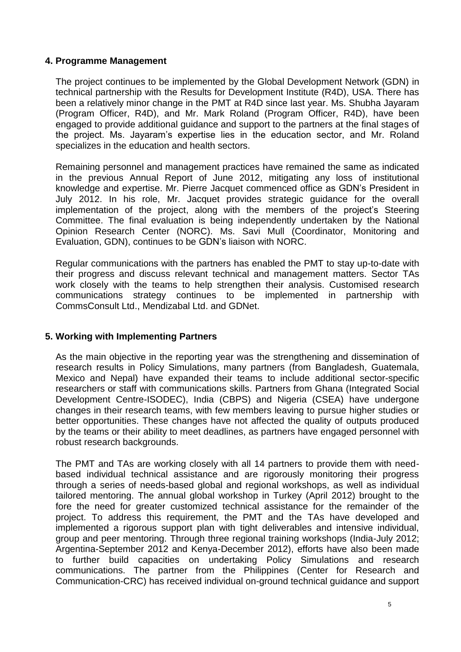### <span id="page-6-0"></span>**4. Programme Management**

The project continues to be implemented by the Global Development Network (GDN) in technical partnership with the Results for Development Institute (R4D), USA. There has been a relatively minor change in the PMT at R4D since last year. Ms. Shubha Jayaram (Program Officer, R4D), and Mr. Mark Roland (Program Officer, R4D), have been engaged to provide additional guidance and support to the partners at the final stages of the project. Ms. Jayaram's expertise lies in the education sector, and Mr. Roland specializes in the education and health sectors.

Remaining personnel and management practices have remained the same as indicated in the previous Annual Report of June 2012, mitigating any loss of institutional knowledge and expertise. Mr. Pierre Jacquet commenced office as GDN's President in July 2012. In his role, Mr. Jacquet provides strategic guidance for the overall implementation of the project, along with the members of the project's Steering Committee. The final evaluation is being independently undertaken by the National Opinion Research Center (NORC). Ms. Savi Mull (Coordinator, Monitoring and Evaluation, GDN), continues to be GDN's liaison with NORC.

Regular communications with the partners has enabled the PMT to stay up-to-date with their progress and discuss relevant technical and management matters. Sector TAs work closely with the teams to help strengthen their analysis. Customised research communications strategy continues to be implemented in partnership with CommsConsult Ltd., Mendizabal Ltd. and GDNet.

#### <span id="page-6-1"></span>**5. Working with Implementing Partners**

As the main objective in the reporting year was the strengthening and dissemination of research results in Policy Simulations, many partners (from Bangladesh, Guatemala, Mexico and Nepal) have expanded their teams to include additional sector-specific researchers or staff with communications skills. Partners from Ghana (Integrated Social Development Centre-ISODEC), India (CBPS) and Nigeria (CSEA) have undergone changes in their research teams, with few members leaving to pursue higher studies or better opportunities. These changes have not affected the quality of outputs produced by the teams or their ability to meet deadlines, as partners have engaged personnel with robust research backgrounds.

The PMT and TAs are working closely with all 14 partners to provide them with needbased individual technical assistance and are rigorously monitoring their progress through a series of needs-based global and regional workshops, as well as individual tailored mentoring. The annual global workshop in Turkey (April 2012) brought to the fore the need for greater customized technical assistance for the remainder of the project. To address this requirement, the PMT and the TAs have developed and implemented a rigorous support plan with tight deliverables and intensive individual, group and peer mentoring. Through three regional training workshops (India-July 2012; Argentina-September 2012 and Kenya-December 2012), efforts have also been made to further build capacities on undertaking Policy Simulations and research communications. The partner from the Philippines (Center for Research and Communication-CRC) has received individual on-ground technical guidance and support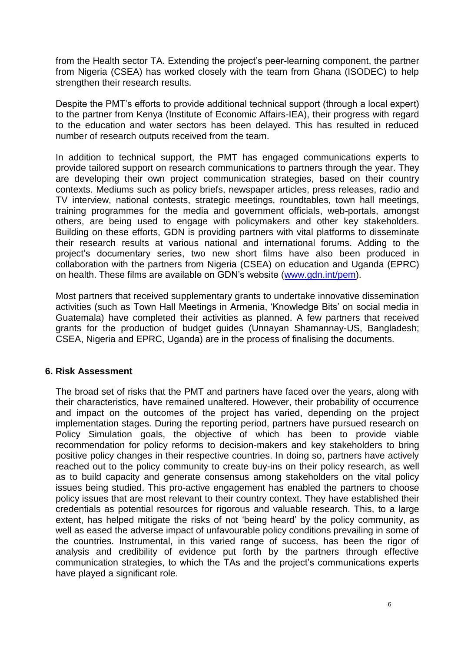from the Health sector TA. Extending the project's peer-learning component, the partner from Nigeria (CSEA) has worked closely with the team from Ghana (ISODEC) to help strengthen their research results.

Despite the PMT's efforts to provide additional technical support (through a local expert) to the partner from Kenya (Institute of Economic Affairs-IEA), their progress with regard to the education and water sectors has been delayed. This has resulted in reduced number of research outputs received from the team.

In addition to technical support, the PMT has engaged communications experts to provide tailored support on research communications to partners through the year. They are developing their own project communication strategies, based on their country contexts. Mediums such as policy briefs, newspaper articles, press releases, radio and TV interview, national contests, strategic meetings, roundtables, town hall meetings, training programmes for the media and government officials, web-portals, amongst others, are being used to engage with policymakers and other key stakeholders. Building on these efforts, GDN is providing partners with vital platforms to disseminate their research results at various national and international forums. Adding to the project's documentary series, two new short films have also been produced in collaboration with the partners from Nigeria (CSEA) on education and Uganda (EPRC) on health. These films are available on GDN's website [\(www.gdn.int/](http://www.gdn.int/)pem).

Most partners that received supplementary grants to undertake innovative dissemination activities (such as Town Hall Meetings in Armenia, 'Knowledge Bits' on social media in Guatemala) have completed their activities as planned. A few partners that received grants for the production of budget guides (Unnayan Shamannay-US, Bangladesh; CSEA, Nigeria and EPRC, Uganda) are in the process of finalising the documents.

#### <span id="page-7-0"></span>**6. Risk Assessment**

The broad set of risks that the PMT and partners have faced over the years, along with their characteristics, have remained unaltered. However, their probability of occurrence and impact on the outcomes of the project has varied, depending on the project implementation stages. During the reporting period, partners have pursued research on Policy Simulation goals, the objective of which has been to provide viable recommendation for policy reforms to decision-makers and key stakeholders to bring positive policy changes in their respective countries. In doing so, partners have actively reached out to the policy community to create buy-ins on their policy research, as well as to build capacity and generate consensus among stakeholders on the vital policy issues being studied. This pro-active engagement has enabled the partners to choose policy issues that are most relevant to their country context. They have established their credentials as potential resources for rigorous and valuable research. This, to a large extent, has helped mitigate the risks of not 'being heard' by the policy community, as well as eased the adverse impact of unfavourable policy conditions prevailing in some of the countries. Instrumental, in this varied range of success, has been the rigor of analysis and credibility of evidence put forth by the partners through effective communication strategies, to which the TAs and the project's communications experts have played a significant role.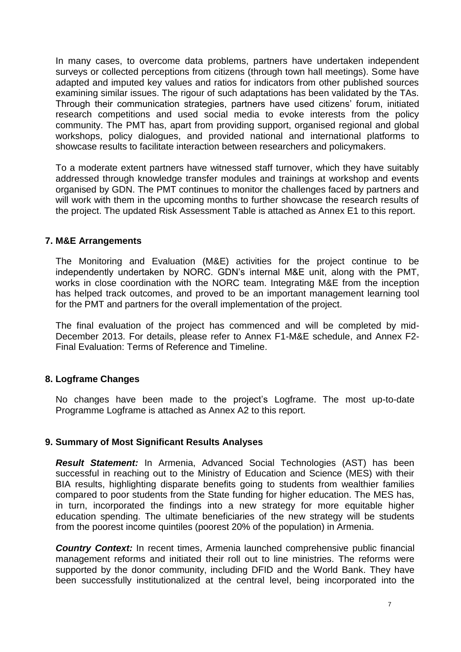In many cases, to overcome data problems, partners have undertaken independent surveys or collected perceptions from citizens (through town hall meetings). Some have adapted and imputed key values and ratios for indicators from other published sources examining similar issues. The rigour of such adaptations has been validated by the TAs. Through their communication strategies, partners have used citizens' forum, initiated research competitions and used social media to evoke interests from the policy community. The PMT has, apart from providing support, organised regional and global workshops, policy dialogues, and provided national and international platforms to showcase results to facilitate interaction between researchers and policymakers.

To a moderate extent partners have witnessed staff turnover, which they have suitably addressed through knowledge transfer modules and trainings at workshop and events organised by GDN. The PMT continues to monitor the challenges faced by partners and will work with them in the upcoming months to further showcase the research results of the project. The updated Risk Assessment Table is attached as Annex E1 to this report.

#### <span id="page-8-0"></span>**7. M&E Arrangements**

The Monitoring and Evaluation (M&E) activities for the project continue to be independently undertaken by NORC. GDN's internal M&E unit, along with the PMT, works in close coordination with the NORC team. Integrating M&E from the inception has helped track outcomes, and proved to be an important management learning tool for the PMT and partners for the overall implementation of the project.

The final evaluation of the project has commenced and will be completed by mid-December 2013. For details, please refer to Annex F1-M&E schedule, and Annex F2- Final Evaluation: Terms of Reference and Timeline.

#### <span id="page-8-1"></span>**8. Logframe Changes**

No changes have been made to the project's Logframe. The most up-to-date Programme Logframe is attached as Annex A2 to this report.

#### <span id="page-8-2"></span>**9. Summary of Most Significant Results Analyses**

*Result Statement:* In Armenia, Advanced Social Technologies (AST) has been successful in reaching out to the Ministry of Education and Science (MES) with their BIA results, highlighting disparate benefits going to students from wealthier families compared to poor students from the State funding for higher education. The MES has, in turn, incorporated the findings into a new strategy for more equitable higher education spending. The ultimate beneficiaries of the new strategy will be students from the poorest income quintiles (poorest 20% of the population) in Armenia.

**Country Context:** In recent times, Armenia launched comprehensive public financial management reforms and initiated their roll out to line ministries. The reforms were supported by the donor community, including DFID and the World Bank. They have been successfully institutionalized at the central level, being incorporated into the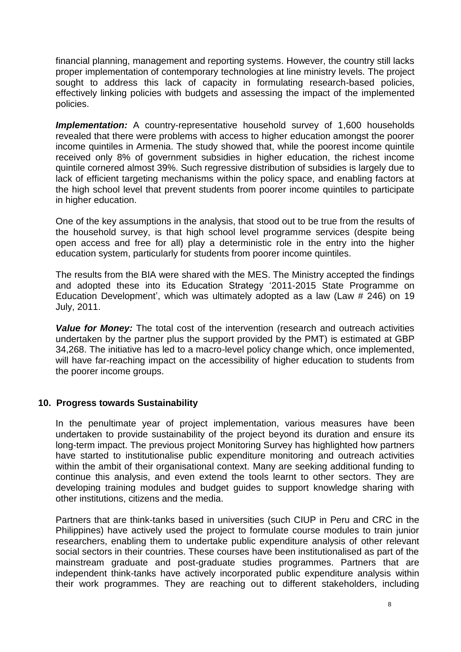financial planning, management and reporting systems. However, the country still lacks proper implementation of contemporary technologies at line ministry levels. The project sought to address this lack of capacity in formulating research-based policies, effectively linking policies with budgets and assessing the impact of the implemented policies.

**Implementation:** A country-representative household survey of 1,600 households revealed that there were problems with access to higher education amongst the poorer income quintiles in Armenia. The study showed that, while the poorest income quintile received only 8% of government subsidies in higher education, the richest income quintile cornered almost 39%. Such regressive distribution of subsidies is largely due to lack of efficient targeting mechanisms within the policy space, and enabling factors at the high school level that prevent students from poorer income quintiles to participate in higher education.

One of the key assumptions in the analysis, that stood out to be true from the results of the household survey, is that high school level programme services (despite being open access and free for all) play a deterministic role in the entry into the higher education system, particularly for students from poorer income quintiles.

The results from the BIA were shared with the MES. The Ministry accepted the findings and adopted these into its Education Strategy '2011-2015 State Programme on Education Development', which was ultimately adopted as a law (Law # 246) on 19 July, 2011.

*Value for Money:* The total cost of the intervention (research and outreach activities undertaken by the partner plus the support provided by the PMT) is estimated at GBP 34,268. The initiative has led to a macro-level policy change which, once implemented, will have far-reaching impact on the accessibility of higher education to students from the poorer income groups.

#### <span id="page-9-0"></span>**10. Progress towards Sustainability**

In the penultimate year of project implementation, various measures have been undertaken to provide sustainability of the project beyond its duration and ensure its long-term impact. The previous project Monitoring Survey has highlighted how partners have started to institutionalise public expenditure monitoring and outreach activities within the ambit of their organisational context. Many are seeking additional funding to continue this analysis, and even extend the tools learnt to other sectors. They are developing training modules and budget guides to support knowledge sharing with other institutions, citizens and the media.

Partners that are think-tanks based in universities (such CIUP in Peru and CRC in the Philippines) have actively used the project to formulate course modules to train junior researchers, enabling them to undertake public expenditure analysis of other relevant social sectors in their countries. These courses have been institutionalised as part of the mainstream graduate and post-graduate studies programmes. Partners that are independent think-tanks have actively incorporated public expenditure analysis within their work programmes. They are reaching out to different stakeholders, including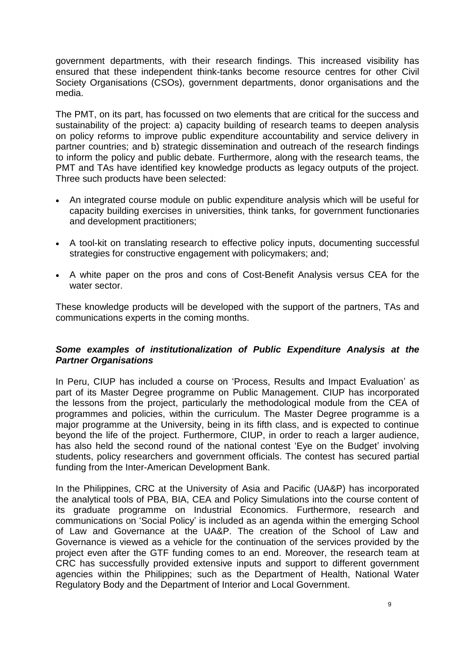government departments, with their research findings. This increased visibility has ensured that these independent think-tanks become resource centres for other Civil Society Organisations (CSOs), government departments, donor organisations and the media.

The PMT, on its part, has focussed on two elements that are critical for the success and sustainability of the project: a) capacity building of research teams to deepen analysis on policy reforms to improve public expenditure accountability and service delivery in partner countries; and b) strategic dissemination and outreach of the research findings to inform the policy and public debate. Furthermore, along with the research teams, the PMT and TAs have identified key knowledge products as legacy outputs of the project. Three such products have been selected:

- An integrated course module on public expenditure analysis which will be useful for capacity building exercises in universities, think tanks, for government functionaries and development practitioners;
- A tool-kit on translating research to effective policy inputs, documenting successful strategies for constructive engagement with policymakers; and;
- A white paper on the pros and cons of Cost-Benefit Analysis versus CEA for the water sector.

These knowledge products will be developed with the support of the partners, TAs and communications experts in the coming months.

#### *Some examples of institutionalization of Public Expenditure Analysis at the Partner Organisations*

In Peru, CIUP has included a course on 'Process, Results and Impact Evaluation' as part of its Master Degree programme on Public Management. CIUP has incorporated the lessons from the project, particularly the methodological module from the CEA of programmes and policies, within the curriculum. The Master Degree programme is a major programme at the University, being in its fifth class, and is expected to continue beyond the life of the project. Furthermore, CIUP, in order to reach a larger audience, has also held the second round of the national contest 'Eye on the Budget' involving students, policy researchers and government officials. The contest has secured partial funding from the Inter-American Development Bank.

In the Philippines, CRC at the University of Asia and Pacific (UA&P) has incorporated the analytical tools of PBA, BIA, CEA and Policy Simulations into the course content of its graduate programme on Industrial Economics. Furthermore, research and communications on 'Social Policy' is included as an agenda within the emerging School of Law and Governance at the UA&P. The creation of the School of Law and Governance is viewed as a vehicle for the continuation of the services provided by the project even after the GTF funding comes to an end. Moreover, the research team at CRC has successfully provided extensive inputs and support to different government agencies within the Philippines; such as the Department of Health, National Water Regulatory Body and the Department of Interior and Local Government.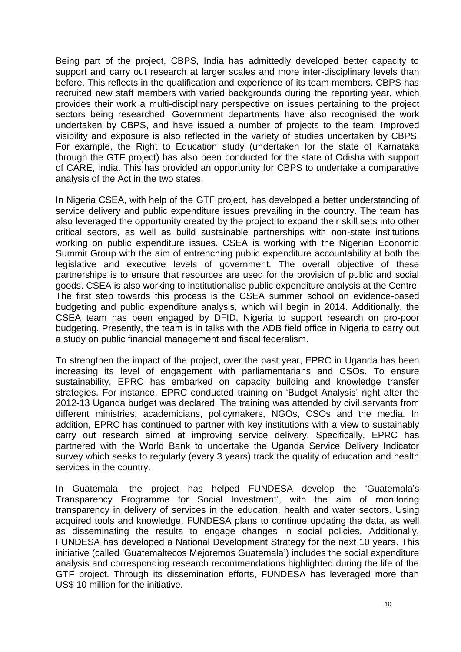Being part of the project, CBPS, India has admittedly developed better capacity to support and carry out research at larger scales and more inter-disciplinary levels than before. This reflects in the qualification and experience of its team members. CBPS has recruited new staff members with varied backgrounds during the reporting year, which provides their work a multi-disciplinary perspective on issues pertaining to the project sectors being researched. Government departments have also recognised the work undertaken by CBPS, and have issued a number of projects to the team. Improved visibility and exposure is also reflected in the variety of studies undertaken by CBPS. For example, the Right to Education study (undertaken for the state of Karnataka through the GTF project) has also been conducted for the state of Odisha with support of CARE, India. This has provided an opportunity for CBPS to undertake a comparative analysis of the Act in the two states.

In Nigeria CSEA, with help of the GTF project, has developed a better understanding of service delivery and public expenditure issues prevailing in the country. The team has also leveraged the opportunity created by the project to expand their skill sets into other critical sectors, as well as build sustainable partnerships with non-state institutions working on public expenditure issues. CSEA is working with the Nigerian Economic Summit Group with the aim of entrenching public expenditure accountability at both the legislative and executive levels of government. The overall objective of these partnerships is to ensure that resources are used for the provision of public and social goods. CSEA is also working to institutionalise public expenditure analysis at the Centre. The first step towards this process is the CSEA summer school on evidence-based budgeting and public expenditure analysis, which will begin in 2014. Additionally, the CSEA team has been engaged by DFID, Nigeria to support research on pro-poor budgeting. Presently, the team is in talks with the ADB field office in Nigeria to carry out a study on public financial management and fiscal federalism.

To strengthen the impact of the project, over the past year, EPRC in Uganda has been increasing its level of engagement with parliamentarians and CSOs. To ensure sustainability, EPRC has embarked on capacity building and knowledge transfer strategies. For instance, EPRC conducted training on 'Budget Analysis' right after the 2012-13 Uganda budget was declared. The training was attended by civil servants from different ministries, academicians, policymakers, NGOs, CSOs and the media. In addition, EPRC has continued to partner with key institutions with a view to sustainably carry out research aimed at improving service delivery. Specifically, EPRC has partnered with the World Bank to undertake the Uganda Service Delivery Indicator survey which seeks to regularly (every 3 years) track the quality of education and health services in the country.

In Guatemala, the project has helped FUNDESA develop the 'Guatemala's Transparency Programme for Social Investment', with the aim of monitoring transparency in delivery of services in the education, health and water sectors. Using acquired tools and knowledge, FUNDESA plans to continue updating the data, as well as disseminating the results to engage changes in social policies. Additionally, FUNDESA has developed a National Development Strategy for the next 10 years. This initiative (called 'Guatemaltecos Mejoremos Guatemala') includes the social expenditure analysis and corresponding research recommendations highlighted during the life of the GTF project. Through its dissemination efforts, FUNDESA has leveraged more than US\$ 10 million for the initiative.